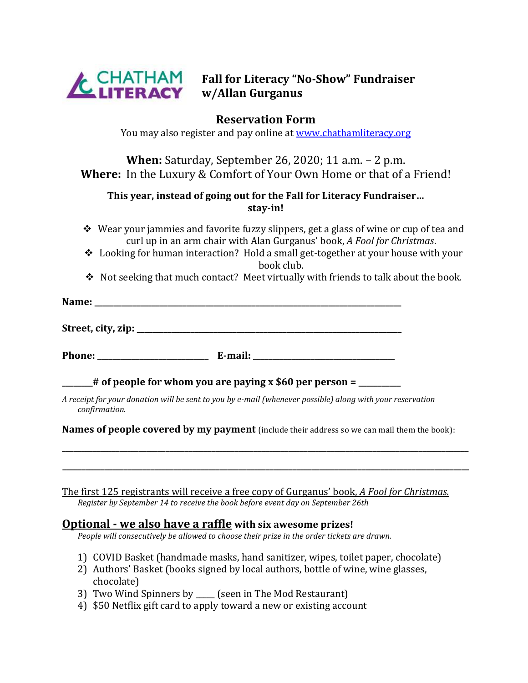

**Fall for Literacy "No-Show" Fundraiser w/Allan Gurganus**

# **Reservation Form**

You may also register and pay online at [www.chathamliteracy.org](http://www.chathamliteracy.org/)

**When:** Saturday, September 26, 2020; 11 a.m. – 2 p.m. **Where:** In the Luxury & Comfort of Your Own Home or that of a Friend!

## **This year, instead of going out for the Fall for Literacy Fundraiser… stay-in!**

- ❖ Wear your jammies and favorite fuzzy slippers, get a glass of wine or cup of tea and curl up in an arm chair with Alan Gurganus' book, *A Fool for Christmas*.
- ❖ Looking for human interaction? Hold a small get-together at your house with your book club.
- ❖ Not seeking that much contact? Meet virtually with friends to talk about the book.

| Name: |  | -- |
|-------|--|----|
|       |  |    |

**Street, city, zip: \_\_\_\_\_\_\_\_\_\_\_\_\_\_\_\_\_\_\_\_\_\_\_\_\_\_\_\_\_\_\_\_\_\_\_\_\_\_\_\_\_\_\_\_\_\_\_\_\_\_\_\_\_\_\_\_\_\_\_\_\_\_\_\_\_\_\_\_\_**

**Phone: \_\_\_\_\_\_\_\_\_\_\_\_\_\_\_\_\_\_\_\_\_\_\_\_\_\_\_\_\_ E-mail: \_\_\_\_\_\_\_\_\_\_\_\_\_\_\_\_\_\_\_\_\_\_\_\_\_\_\_\_\_\_\_\_\_\_\_\_\_**

**\_\_\_\_\_\_\_\_# of people for whom you are paying x \$60 per person = \_\_\_\_\_\_\_\_\_\_\_**

*A receipt for your donation will be sent to you by e-mail (whenever possible) along with your reservation confirmation.*

**Names of people covered by my payment** (include their address so we can mail them the book):

**\_\_\_\_\_\_\_\_\_\_\_\_\_\_\_\_\_\_\_\_\_\_\_\_\_\_\_\_\_\_\_\_\_\_\_\_\_\_\_\_\_\_\_\_\_\_\_\_\_\_\_\_\_\_\_\_\_\_\_\_\_\_\_\_\_\_\_\_\_\_\_\_\_\_\_\_\_\_\_\_\_\_\_\_\_\_\_\_\_\_\_\_\_\_\_\_\_\_\_\_\_\_\_\_\_\_**

**\_\_\_\_\_\_\_\_\_\_\_\_\_\_\_\_\_\_\_\_\_\_\_\_\_\_\_\_\_\_\_\_\_\_\_\_\_\_\_\_\_\_\_\_\_\_\_\_\_\_\_\_\_\_\_\_\_\_\_\_\_\_\_\_\_\_\_\_\_\_\_\_\_\_\_\_\_\_\_\_\_\_\_\_\_\_\_\_\_\_\_\_\_\_\_\_\_\_\_\_\_\_\_\_\_\_**

The first 125 registrants will receive a free copy of Gurganus' book, *A Fool for Christmas. Register by September 14 to receive the book before event day on September 26th*

#### **Optional - we also have a raffle with six awesome prizes!**

*People will consecutively be allowed to choose their prize in the order tickets are drawn.*

- 1) COVID Basket (handmade masks, hand sanitizer, wipes, toilet paper, chocolate)
- 2) Authors' Basket (books signed by local authors, bottle of wine, wine glasses, chocolate)
- 3) Two Wind Spinners by (seen in The Mod Restaurant)
- 4) \$50 Netflix gift card to apply toward a new or existing account